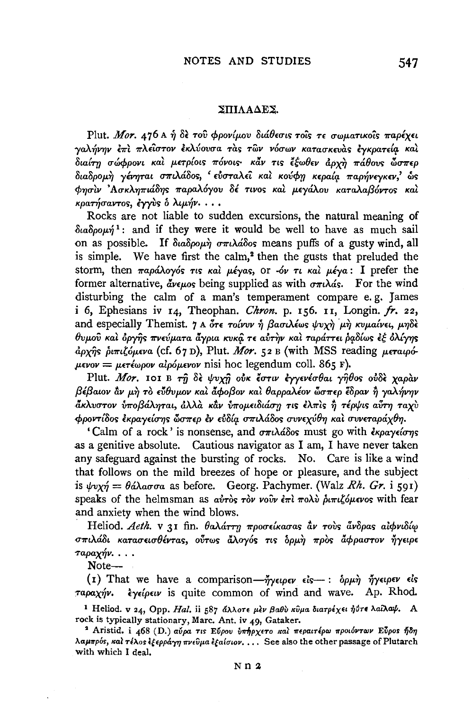## ΣΠΙΛΑΔΕΣ.

Plut. Mor. 476 A ή δε του φρονίμου διάθεσις τους τε σωματικούς παρέχει γαλήνην έπι πλείστον εκλύουσα τας των νόσων κατασκευάς έγκρατεία και .<br>διαίτη σώφρονι και μετρίοις πόνοις· κάν τις έξωθεν άργη πάθους ώσπερ διαδρομή γένηται σπιλάδος, εύσταλεί και κούφη κεραία παρήνεγκεν, ώς φησίν 'Ασκληπιάδης παραλόγου δέ τινος και μεγάλου καταλαβόντος και κρατήσαντος, έγγὺς δ λιμήν...

Rocks are not liable to sudden excursions, the natural meaning of  $\delta u \delta 0$   $\omega \dot{n}^1$ : and if they were it would be well to have as much sail on as possible. If  $\delta_{\alpha\alpha}\delta_{\beta\rho\alpha\mu}\eta \sigma_{\alpha\alpha}$  and  $\delta_{\alpha\beta}$  means puffs of a gusty wind, all is simple. We have first the calm,<sup>2</sup> then the gusts that preluded the storm, then  $\pi a \rho a \lambda o \gamma o \sigma$   $\tau s$   $\kappa a \lambda \mu \epsilon \gamma a s$ , or  $\delta \nu \tau \nu \kappa a \lambda \mu \epsilon \gamma a$ : I prefer the former alternative,  $\tilde{d}$ ve*uos* being supplied as with  $\sigma \pi \iota \lambda \alpha s$ . For the wind disturbing the calm of a man's temperament compare e.g. James i 6, Ephesians iv  $I_4$ , Theophan. Chron. p. 156. 11. Longin. fr. 22, and especially Themist. 7 A ότε τοίνυν ή βασιλέως ψυχή μή κυμαίνει, μηδέ θυμού και όργης πνεύματα άγρια κυκά τε αύτην και ταράττει ραδίως εξ ολίγης άρχης διπιζόμενα (cf. 67 D), Plut. Mor. 52 B (with MSS reading μεταιρό- $\mu \epsilon v$ ov =  $\mu \epsilon \tau \epsilon \omega \rho \omega v$  algó $\mu \epsilon v \omega v$  nisi hoc legendum coll. 865 F).

Plut. Mor. 101 B τη δε ψυγή ούκ έστιν εγγενέσθαι γήθος ούδε γαράν  $\beta$ έβαιον αν μή το εύθυμον και άφοβον και θαρραλέον ώσπερ έδραν ή γαλήνην άκλυστον ύποβάληται, άλλὰ κἂν υπομειδιάση τις έλπὶς ἢ τέρψις αὖτη ταγὺ φροντίδος έκραγείσης ὧσπερ έν εύδία σπιλάδος συνεχύθη και συνεταράχθη.

'Calm of a rock' is nonsense, and  $\sigma \pi \iota \lambda d \delta o s$  must go with  $\epsilon \kappa o a \gamma \epsilon \iota \sigma n s$ as a genitive absolute. Cautious navigator as I am, I have never taken any safeguard against the bursting of rocks. No. Care is like a wind that follows on the mild breezes of hope or pleasure, and the subject is  $\psi v x \eta = \theta \alpha \lambda \alpha \sigma \alpha$  as before. Georg. Pachymer. (Walz Rh. Gr. i 591) speaks of the helmsman as αύτος τον νούν έπι πολύ διπιζόμενος with fear and anxiety when the wind blows.

Heliod. Aeth. v 31 fin. θαλάττη προσείκασας αν τους άνδρας αίφνιδίω σπιλάδι κατασεισθέντας, ούτως άλογός τις δρμή προς άφραστον ήγειρε ταραχήν....

 $Note—$ 

(1) That we have a comparison- $\tilde{\eta}$   $\gamma \epsilon \varphi \epsilon \nu$   $\epsilon \delta \epsilon$  :  $\delta \rho \mu \dot{\eta}$   $\tilde{\eta} \gamma \epsilon \varphi \epsilon \nu$   $\epsilon \delta s$ ταραχήν. εγείρειν is quite common of wind and wave. Ap. Rhod.

<sup>1</sup> Heliod. v 24, Opp. Hal. ii 587 άλλοτε μεν βαθύ κύμα διατρέχει ή στε λαίλαψ. A rock is typically stationary, Marc. Ant. iv 49, Gataker.

<sup>2</sup> Aristid. i 468 (D.) αύρα τις Εύρου υπήρχετο και περαιτέρω προιόντων Εύρος ήδη λαμπρός, και τέλος έξερράγη πνεύμα εξαίσιον.... See also the other passage of Plutarch with which I deal.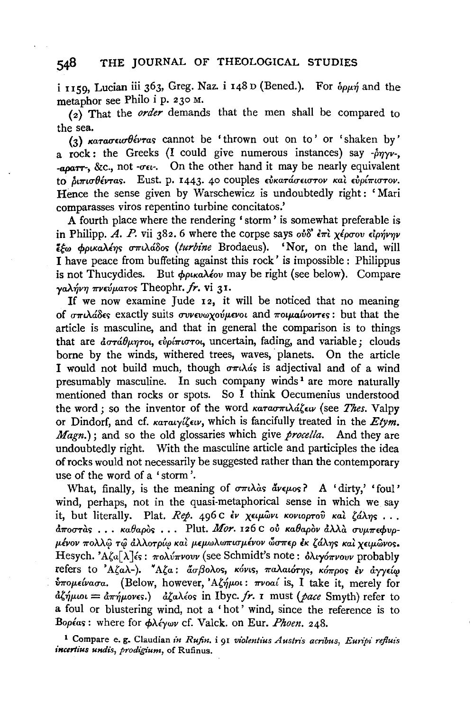i 1159, Lucian iii 363, Greg. Naz. i 148 D (Bened.). For  $\delta \rho \mu \eta$  and the metaphor see Philo i p. 230 M.

 $\overrightarrow{a}$  That the *order* demands that the men shall be compared to the sea.

(3) *Katagew Oevras* cannot be 'thrown out on to' or 'shaken by' a rock: the Greeks (I could give numerous instances) say  $-\hat{p}\eta\gamma v$ , *-aparr-, &c., not -ou-.* On the other hand it may be nearly equivalent to διπισθέντας. Eust. p. 1443. 40 couples εύκατάσειστον και ευρίπιστον. Hence the sense given by Warschewicz is undoubtedly right: 'Mari comparasses viros repentino turbine concitatos.'

A fourth place where the rendering ' storm ' is somewhat preferable is in Philipp. *A. P.* vii 382. 6 where the corpse says  $\partial \delta \partial \dot{\delta}$   $\partial \dot{\tau}$  *x*  $\partial \dot{\sigma}$  *z*  $\partial \dot{\gamma}$ *viviviv*  $\epsilon_{\rm w}$   $\phi_{\rm p\alpha}$   $\Delta \epsilon_{\rm \gamma}$   $\sigma_{\rm \pi}$ ,  $\Delta \hat{\omega}_{\rm \gamma}$  (turbine Brodaeus). 'Nor, on the land, will I have peace from buffeting against this rock' is impossible : Philippus is not Thucydides. But *φρικαλέον* may be right (see below). Compare *ya.Af,v'Y} 7rVciJftaTOr;* Theophr. *fr.* vi 31.

If we now examine Jude 12, it will be noticed that no meaning of *σπιλάδες* exactly suits *συνευωχούμενοι* and *ποιμαίνοντες*: but that the article is masculine, and that in general the comparison is to things that are *αστάθμητοι*, εν*ρίπιστοι*, uncertain, fading, and variable; clouds borne by the winds, withered trees, waves, planets. On the article I would not build much, though  $\sigma \pi \lambda \phi$  is adjectival and of a wind presumably masculine. In such company winds<sup>1</sup> are more naturally mentioned than rocks or spots. So I think Oecumenius understood the word; so the inventor of the word *κατασπιλάζειν* (see *Thes.* Valpy or Dindorf, and cf. *KaTaiy{,£iv,* which is fancifully treated in the *Etym. Magn.*); and so the old glossaries which give *procella*. And they are undoubtedly right. With the masculine article and participles the idea of rocks would not necessarily be suggested rather than the contemporary use of the word of a ' storm '.

What, finally, is the meaning of  $\sigma \pi \iota \lambda$  as  $\tilde{d} \nu \epsilon \mu$ os? A 'dirty,' 'foul' wind, perhaps, not in the quasi-metaphorical sense in which we say it, but literally. Plat. *Rep.* 496 C έν χειμώνι κονιορτού και ζάλης...  $d\pi$ <sub>σ</sub>στας... καθαρός... Plut. *Mor*. 126 c ού καθαρόν άλλα συμπεφυρ*μένον πολλ*ω τω άλλοτρίω και μεμωλωπισμένον ὥσπερ εκ ζάλης και γειμωνος. Hesych. 'Aζα[λ]<sup>2</sup> : πολύπνουν (see Schmidt's note: δλιγόπνουν probably refers to 'Αζαλ-). "Αζα: *άσβολος, κόνις, παλαιότης, κόπρος έν άγγείω δπομείνασα.* (Below, however, 'Αζήμοι: πνοαί is, I take it, merely for  $d\xi\eta\mu\omega = d\pi\eta\mu\omega$ νες.)  $d\xi a\lambda\omega$ s in Ibyc. *fr. 1* must (*pace Smyth*) refer to a foul or blustering wind, not a ' hot ' wind, since the reference is to *Boplar;:* where for *cp>..cfywv* cf. Valek. on Eur. *Phoen.* 248.

<sup>1</sup> Compare e. g. Claudian in Rufin, i 91 violentius Austris acribus, Euripi refluis *incerlius undis, prodigium,* of Rufinus.